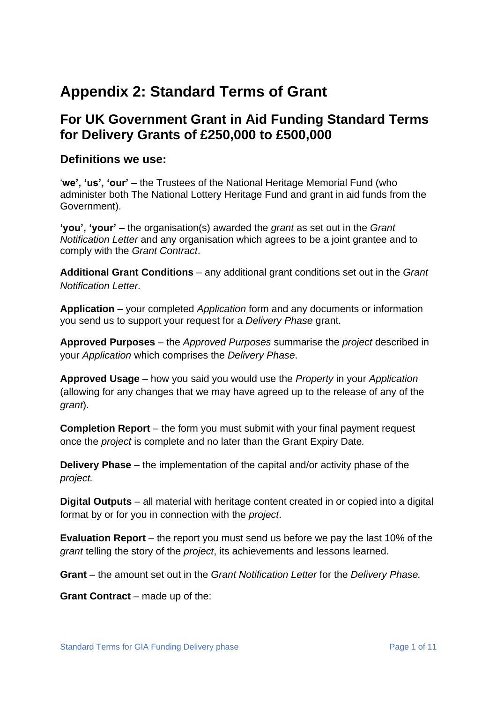# **Appendix 2: Standard Terms of Grant**

# **For UK Government Grant in Aid Funding Standard Terms for Delivery Grants of £250,000 to £500,000**

#### **Definitions we use:**

'**we', 'us', 'our'** – the Trustees of the National Heritage Memorial Fund (who administer both The National Lottery Heritage Fund and grant in aid funds from the Government).

**'you', 'your'** – the organisation(s) awarded the *grant* as set out in the *Grant Notification Letter* and any organisation which agrees to be a joint grantee and to comply with the *Grant Contract*.

**Additional Grant Conditions** – any additional grant conditions set out in the *Grant Notification Letter.*

**Application** – your completed *Application* form and any documents or information you send us to support your request for a *Delivery Phase* grant.

**Approved Purposes** – the *Approved Purposes* summarise the *project* described in your *Application* which comprises the *Delivery Phase*.

**Approved Usage** – how you said you would use the *Property* in your *Application* (allowing for any changes that we may have agreed up to the release of any of the *grant*).

**Completion Report** – the form you must submit with your final payment request once the *project* is complete and no later than the Grant Expiry Date*.*

**Delivery Phase** – the implementation of the capital and/or activity phase of the *project.*

**Digital Outputs** – all material with heritage content created in or copied into a digital format by or for you in connection with the *project*.

**Evaluation Report** – the report you must send us before we pay the last 10% of the *grant* telling the story of the *project*, its achievements and lessons learned.

**Grant** – the amount set out in the *Grant Notification Letter* for the *Delivery Phase.*

**Grant Contract** – made up of the: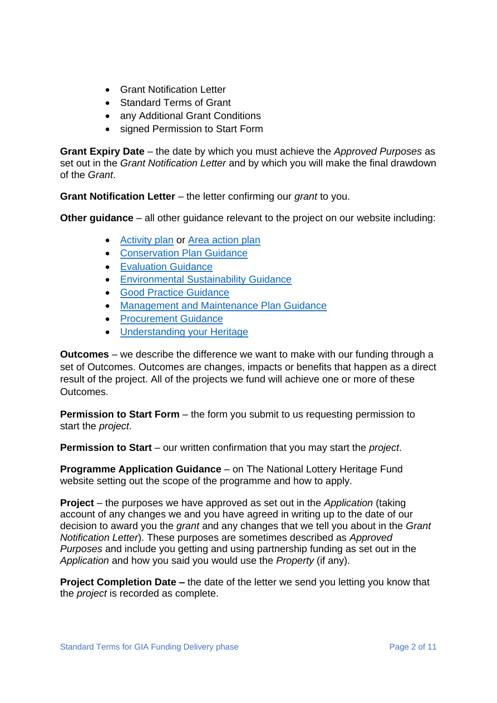- Grant Notification Letter
- Standard Terms of Grant
- any Additional Grant Conditions
- signed Permission to Start Form

**Grant Expiry Date** – the date by which you must achieve the *Approved Purposes* as set out in the *Grant Notification Letter* and by which you will make the final drawdown of the *Grant*.

**Grant Notification Letter** – the letter confirming our *grant* to you.

**Other guidance** – all other guidance relevant to the project on our website including:

- [Activity plan](https://www.heritagefund.org.uk/good-practice-guidance/activity-plan-guidance) or [Area action plan](https://www.heritagefund.org.uk/good-practice-guidance/area-based-schemes-guidance)
- [Conservation Plan Guidance](https://www.heritagefund.org.uk/good-practice-guidance/conservation-planning-guidance)
- [Evaluation Guidance](https://www.heritagefund.org.uk/good-practice-guidance/evaluation-guidance)
- [Environmental Sustainability Guidance](https://www.heritagefund.org.uk/funding/good-practice-guidance/environmental-sustainability-guidance)
- [Good Practice Guidance](https://www.heritagefund.org.uk/funding/good-practice-guidance)
- [Management and Maintenance Plan Guidance](https://www.heritagefund.org.uk/funding/good-practice-guidance/management-and-maintenance-plan-guidance-landscapes-parks-and-gardens)
- [Procurement Guidance](https://www.heritagefund.org.uk/about/transparency/procurement)
- [Understanding your Heritage](https://www.heritagefund.org.uk/good-practice-guidance/understanding-your-heritage-guidance)

**Outcomes** – we describe the difference we want to make with our funding through a set of Outcomes. Outcomes are changes, impacts or benefits that happen as a direct result of the project. All of the projects we fund will achieve one or more of these **Outcomes** 

**Permission to Start Form** – the form you submit to us requesting permission to start the *project*.

**Permission to Start** – our written confirmation that you may start the *project*.

**Programme Application Guidance** – on The National Lottery Heritage Fund website setting out the scope of the programme and how to apply.

**Project** – the purposes we have approved as set out in the *Application* (taking account of any changes we and you have agreed in writing up to the date of our decision to award you the *grant* and any changes that we tell you about in the *Grant Notification Letter*). These purposes are sometimes described as *Approved Purposes* and include you getting and using partnership funding as set out in the *Application* and how you said you would use the *Property* (if any).

**Project Completion Date** – the date of the letter we send you letting you know that the *project* is recorded as complete.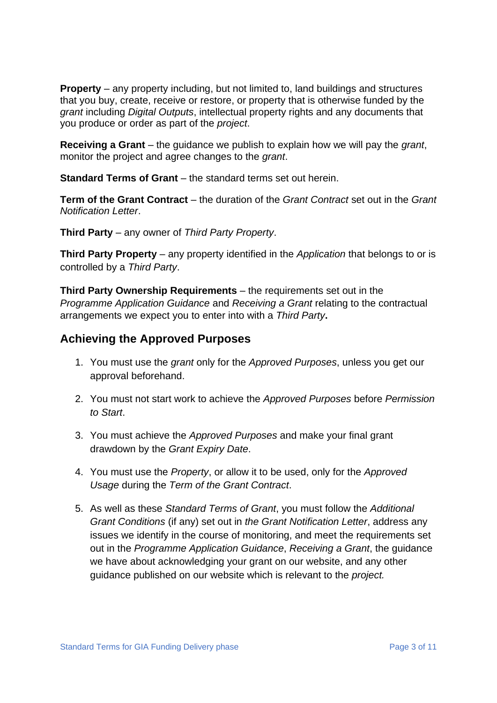**Property** – any property including, but not limited to, land buildings and structures that you buy, create, receive or restore, or property that is otherwise funded by the *grant* including *Digital Outputs*, intellectual property rights and any documents that you produce or order as part of the *project*.

**Receiving a Grant** – the guidance we publish to explain how we will pay the *grant*, monitor the project and agree changes to the *grant*.

**Standard Terms of Grant** – the standard terms set out herein.

**Term of the Grant Contract** – the duration of the *Grant Contract* set out in the *Grant Notification Letter*.

**Third Party** – any owner of *Third Party Property*.

**Third Party Property** – any property identified in the *Application* that belongs to or is controlled by a *Third Party*.

**Third Party Ownership Requirements** – the requirements set out in the *Programme Application Guidance* and *Receiving a Grant* relating to the contractual arrangements we expect you to enter into with a *Third Party***.**

## **Achieving the Approved Purposes**

- 1. You must use the *grant* only for the *Approved Purposes*, unless you get our approval beforehand.
- 2. You must not start work to achieve the *Approved Purposes* before *Permission to Start*.
- 3. You must achieve the *Approved Purposes* and make your final grant drawdown by the *Grant Expiry Date*.
- 4. You must use the *Property*, or allow it to be used, only for the *Approved Usage* during the *Term of the Grant Contract*.
- 5. As well as these *Standard Terms of Grant*, you must follow the *Additional Grant Conditions* (if any) set out in *the Grant Notification Letter*, address any issues we identify in the course of monitoring, and meet the requirements set out in the *Programme Application Guidance*, *Receiving a Grant*, the guidance we have about acknowledging your grant on our website, and any other guidance published on our website which is relevant to the *project.*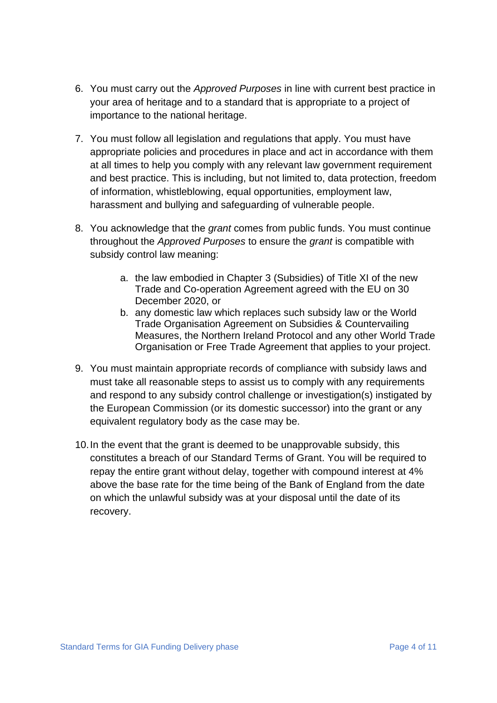- 6. You must carry out the *Approved Purposes* in line with current best practice in your area of heritage and to a standard that is appropriate to a project of importance to the national heritage.
- 7. You must follow all legislation and regulations that apply. You must have appropriate policies and procedures in place and act in accordance with them at all times to help you comply with any relevant law government requirement and best practice. This is including, but not limited to, data protection, freedom of information, whistleblowing, equal opportunities, employment law, harassment and bullying and safeguarding of vulnerable people.
- 8. You acknowledge that the *grant* comes from public funds. You must continue throughout the *Approved Purposes* to ensure the *grant* is compatible with subsidy control law meaning:
	- a. the law embodied in Chapter 3 (Subsidies) of Title XI of the new Trade and Co-operation Agreement agreed with the EU on 30 December 2020, or
	- b. any domestic law which replaces such subsidy law or the World Trade Organisation Agreement on Subsidies & Countervailing Measures, the Northern Ireland Protocol and any other World Trade Organisation or Free Trade Agreement that applies to your project.
- 9. You must maintain appropriate records of compliance with subsidy laws and must take all reasonable steps to assist us to comply with any requirements and respond to any subsidy control challenge or investigation(s) instigated by the European Commission (or its domestic successor) into the grant or any equivalent regulatory body as the case may be.
- 10.In the event that the grant is deemed to be unapprovable subsidy, this constitutes a breach of our Standard Terms of Grant. You will be required to repay the entire grant without delay, together with compound interest at 4% above the base rate for the time being of the Bank of England from the date on which the unlawful subsidy was at your disposal until the date of its recovery.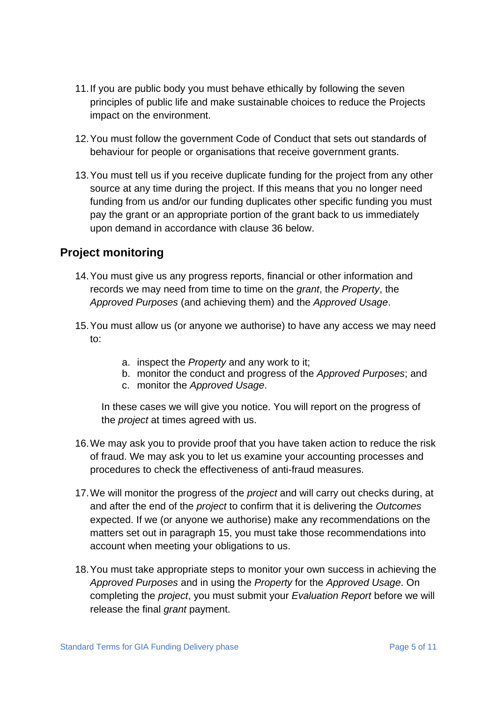- 11.If you are public body you must behave ethically by following the [seven](https://www.gov.uk/government/publications/the-7-principles-of-public-life/the-7-principles-of-public-life--2) [principles of public life](https://www.gov.uk/government/publications/the-7-principles-of-public-life/the-7-principles-of-public-life--2) and make sustainable choices to reduce the Projects impact on the environment.
- 12.You must follow the [government Code of Conduct](https://assets.publishing.service.gov.uk/government/uploads/system/uploads/attachment_data/file/771152/2019-01-15_Code_of_Conduct_for_Grant_Recipients_v._1.01.pdf) that sets out standards of behaviour for people or organisations that receive government grants.
- 13.You must tell us if you receive duplicate funding for the project from any other source at any time during the project. If this means that you no longer need funding from us and/or our funding duplicates other specific funding you must pay the grant or an appropriate portion of the grant back to us immediately upon demand in accordance with clause 36 below.

# **Project monitoring**

- 14.You must give us any progress reports, financial or other information and records we may need from time to time on the *grant*, the *Property*, the *Approved Purposes* (and achieving them) and the *Approved Usage*.
- 15.You must allow us (or anyone we authorise) to have any access we may need to:
	- a. inspect the *Property* and any work to it;
	- b. monitor the conduct and progress of the *Approved Purposes*; and
	- c. monitor the *Approved Usage*.

In these cases we will give you notice. You will report on the progress of the *project* at times agreed with us.

- 16.We may ask you to provide proof that you have taken action to reduce the risk of fraud. We may ask you to let us examine your accounting processes and procedures to check the effectiveness of anti-fraud measures.
- 17.We will monitor the progress of the *project* and will carry out checks during, at and after the end of the *project* to confirm that it is delivering the *Outcomes* expected. If we (or anyone we authorise) make any recommendations on the matters set out in paragraph 15, you must take those recommendations into account when meeting your obligations to us.
- 18.You must take appropriate steps to monitor your own success in achieving the *Approved Purposes* and in using the *Property* for the *Approved Usage*. On completing the *project*, you must submit your *Evaluation Report* before we will release the final *grant* payment.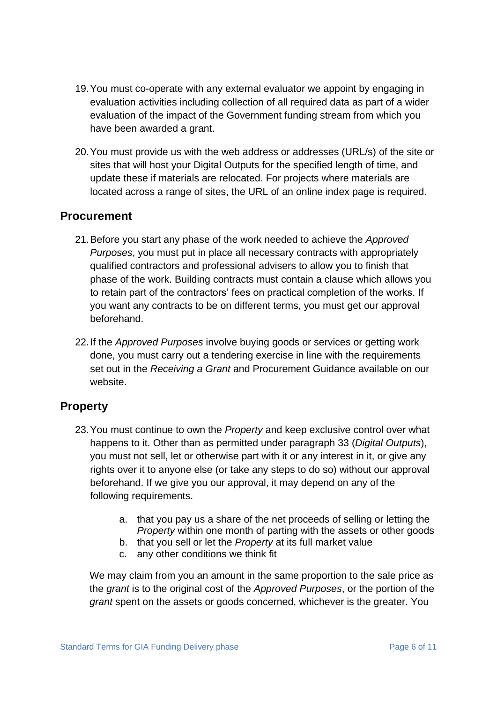- 19.You must co-operate with any external evaluator we appoint by engaging in evaluation activities including collection of all required data as part of a wider evaluation of the impact of the Government funding stream from which you have been awarded a grant.
- 20.You must provide us with the web address or addresses (URL/s) of the site or sites that will host your Digital Outputs for the specified length of time, and update these if materials are relocated. For projects where materials are located across a range of sites, the URL of an online index page is required.

## **Procurement**

- 21.Before you start any phase of the work needed to achieve the *Approved Purposes*, you must put in place all necessary contracts with appropriately qualified contractors and professional advisers to allow you to finish that phase of the work. Building contracts must contain a clause which allows you to retain part of the contractors' fees on practical completion of the works. If you want any contracts to be on different terms, you must get our approval beforehand.
- 22.If the *Approved Purposes* involve buying goods or services or getting work done, you must carry out a tendering exercise in line with the requirements set out in the *Receiving a Grant* and Procurement Guidance available on our website.

## **Property**

- 23.You must continue to own the *Property* and keep exclusive control over what happens to it. Other than as permitted under paragraph 33 (*Digital Outputs*), you must not sell, let or otherwise part with it or any interest in it, or give any rights over it to anyone else (or take any steps to do so) without our approval beforehand. If we give you our approval, it may depend on any of the following requirements.
	- a. that you pay us a share of the net proceeds of selling or letting the *Property* within one month of parting with the assets or other goods
	- b. that you sell or let the *Property* at its full market value
	- c. any other conditions we think fit

We may claim from you an amount in the same proportion to the sale price as the *grant* is to the original cost of the *Approved Purposes*, or the portion of the *grant* spent on the assets or goods concerned, whichever is the greater. You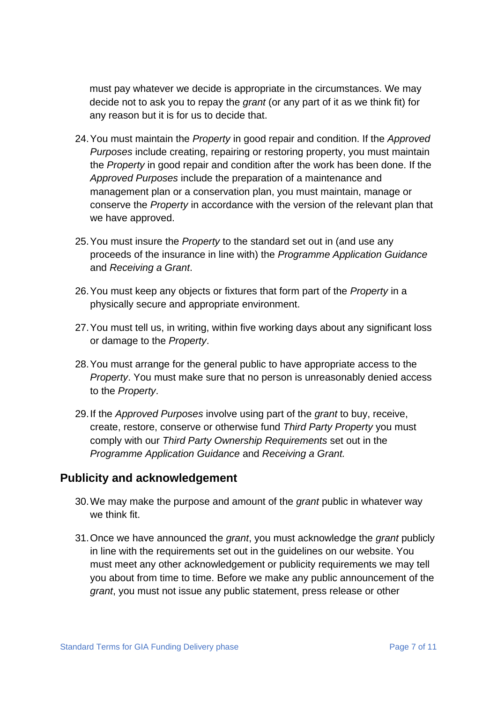must pay whatever we decide is appropriate in the circumstances. We may decide not to ask you to repay the *grant* (or any part of it as we think fit) for any reason but it is for us to decide that.

- 24.You must maintain the *Property* in good repair and condition. If the *Approved Purposes* include creating, repairing or restoring property, you must maintain the *Property* in good repair and condition after the work has been done. If the *Approved Purposes* include the preparation of a maintenance and management plan or a conservation plan, you must maintain, manage or conserve the *Property* in accordance with the version of the relevant plan that we have approved.
- 25.You must insure the *Property* to the standard set out in (and use any proceeds of the insurance in line with) the *Programme Application Guidance* and *Receiving a Grant*.
- 26.You must keep any objects or fixtures that form part of the *Property* in a physically secure and appropriate environment.
- 27.You must tell us, in writing, within five working days about any significant loss or damage to the *Property*.
- 28.You must arrange for the general public to have appropriate access to the *Property*. You must make sure that no person is unreasonably denied access to the *Property*.
- 29.If the *Approved Purposes* involve using part of the *grant* to buy, receive, create, restore, conserve or otherwise fund *Third Party Property* you must comply with our *Third Party Ownership Requirements* set out in the *Programme Application Guidance* and *Receiving a Grant.*

#### **Publicity and acknowledgement**

- 30.We may make the purpose and amount of the *grant* public in whatever way we think fit.
- 31.Once we have announced the *grant*, you must acknowledge the *grant* publicly in line with the requirements set out in the guidelines on our website. You must meet any other acknowledgement or publicity requirements we may tell you about from time to time. Before we make any public announcement of the *grant*, you must not issue any public statement, press release or other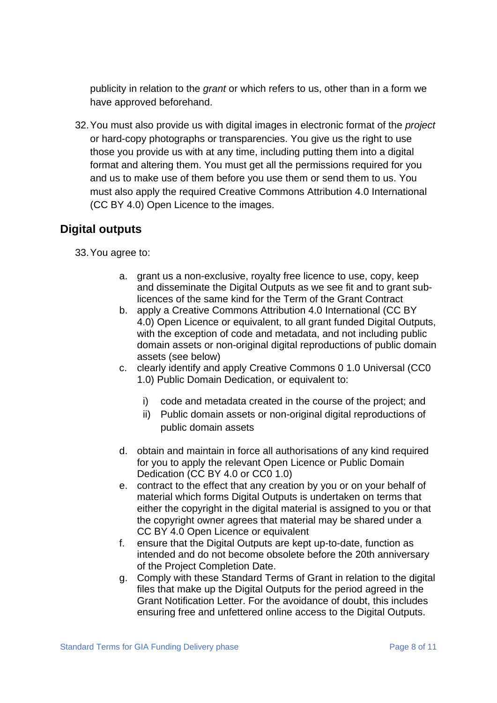publicity in relation to the *grant* or which refers to us, other than in a form we have approved beforehand.

32.You must also provide us with digital images in electronic format of the *project* or hard-copy photographs or transparencies. You give us the right to use those you provide us with at any time, including putting them into a digital format and altering them. You must get all the permissions required for you and us to make use of them before you use them or send them to us. You must also apply the required Creative Commons Attribution 4.0 International (CC BY 4.0) Open Licence to the images.

# **Digital outputs**

33.You agree to:

- a. grant us a non-exclusive, royalty free licence to use, copy, keep and disseminate the Digital Outputs as we see fit and to grant sublicences of the same kind for the Term of the Grant Contract
- b. apply a Creative Commons Attribution 4.0 International (CC BY 4.0) Open Licence or equivalent, to all grant funded Digital Outputs, with the exception of code and metadata, and not including public domain assets or non-original digital reproductions of public domain assets (see below)
- c. clearly identify and apply Creative Commons 0 1.0 Universal (CC0 1.0) Public Domain Dedication, or equivalent to:
	- i) code and metadata created in the course of the project; and
	- ii) Public domain assets or non-original digital reproductions of public domain assets
- d. obtain and maintain in force all authorisations of any kind required for you to apply the relevant Open Licence or Public Domain Dedication (CC BY 4.0 or CC0 1.0)
- e. contract to the effect that any creation by you or on your behalf of material which forms Digital Outputs is undertaken on terms that either the copyright in the digital material is assigned to you or that the copyright owner agrees that material may be shared under a CC BY 4.0 Open Licence or equivalent
- f. ensure that the Digital Outputs are kept up-to-date, function as intended and do not become obsolete before the 20th anniversary of the Project Completion Date.
- g. Comply with these Standard Terms of Grant in relation to the digital files that make up the Digital Outputs for the period agreed in the Grant Notification Letter. For the avoidance of doubt, this includes ensuring free and unfettered online access to the Digital Outputs.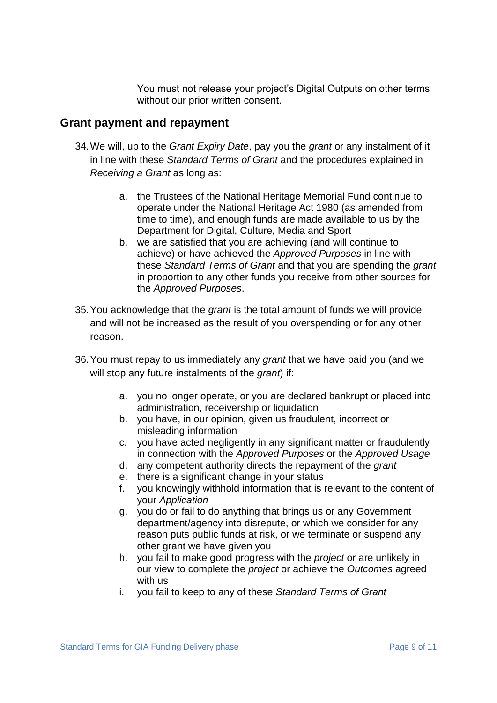You must not release your project's Digital Outputs on other terms without our prior written consent.

#### **Grant payment and repayment**

- 34.We will, up to the *Grant Expiry Date*, pay you the *grant* or any instalment of it in line with these *Standard Terms of Grant* and the procedures explained in *Receiving a Grant* as long as:
	- a. the Trustees of the National Heritage Memorial Fund continue to operate under the National Heritage Act 1980 (as amended from time to time), and enough funds are made available to us by the Department for Digital, Culture, Media and Sport
	- b. we are satisfied that you are achieving (and will continue to achieve) or have achieved the *Approved Purposes* in line with these *Standard Terms of Grant* and that you are spending the *grant* in proportion to any other funds you receive from other sources for the *Approved Purposes*.
- 35.You acknowledge that the *grant* is the total amount of funds we will provide and will not be increased as the result of you overspending or for any other reason.
- 36.You must repay to us immediately any *grant* that we have paid you (and we will stop any future instalments of the *grant*) if:
	- a. you no longer operate, or you are declared bankrupt or placed into administration, receivership or liquidation
	- b. you have, in our opinion, given us fraudulent, incorrect or misleading information
	- c. you have acted negligently in any significant matter or fraudulently in connection with the *Approved Purposes* or the *Approved Usage*
	- d. any competent authority directs the repayment of the *grant*
	- e. there is a significant change in your status
	- f. you knowingly withhold information that is relevant to the content of your *Application*
	- g. you do or fail to do anything that brings us or any Government department/agency into disrepute, or which we consider for any reason puts public funds at risk, or we terminate or suspend any other grant we have given you
	- h. you fail to make good progress with the *project* or are unlikely in our view to complete the *project* or achieve the *Outcomes* agreed with us
	- i. you fail to keep to any of these *Standard Terms of Grant*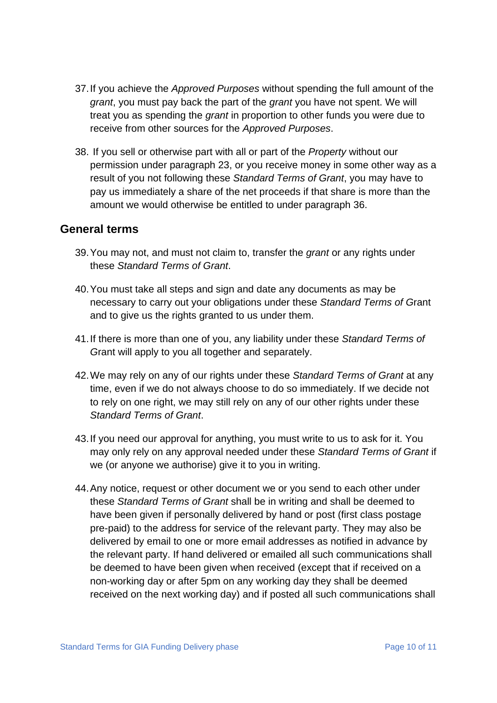- 37.If you achieve the *Approved Purposes* without spending the full amount of the *grant*, you must pay back the part of the *grant* you have not spent. We will treat you as spending the *grant* in proportion to other funds you were due to receive from other sources for the *Approved Purposes*.
- 38. If you sell or otherwise part with all or part of the *Property* without our permission under paragraph 23, or you receive money in some other way as a result of you not following these *Standard Terms of Grant*, you may have to pay us immediately a share of the net proceeds if that share is more than the amount we would otherwise be entitled to under paragraph 36.

#### **General terms**

- 39.You may not, and must not claim to, transfer the *grant* or any rights under these *Standard Terms of Grant*.
- 40.You must take all steps and sign and date any documents as may be necessary to carry out your obligations under these *Standard Terms of G*rant and to give us the rights granted to us under them.
- 41.If there is more than one of you, any liability under these *Standard Terms of G*rant will apply to you all together and separately.
- 42.We may rely on any of our rights under these *Standard Terms of Grant* at any time, even if we do not always choose to do so immediately. If we decide not to rely on one right, we may still rely on any of our other rights under these *Standard Terms of Grant*.
- 43.If you need our approval for anything, you must write to us to ask for it. You may only rely on any approval needed under these *Standard Terms of Grant* if we (or anyone we authorise) give it to you in writing.
- 44.Any notice, request or other document we or you send to each other under these *Standard Terms of Grant* shall be in writing and shall be deemed to have been given if personally delivered by hand or post (first class postage pre-paid) to the address for service of the relevant party. They may also be delivered by email to one or more email addresses as notified in advance by the relevant party. If hand delivered or emailed all such communications shall be deemed to have been given when received (except that if received on a non-working day or after 5pm on any working day they shall be deemed received on the next working day) and if posted all such communications shall